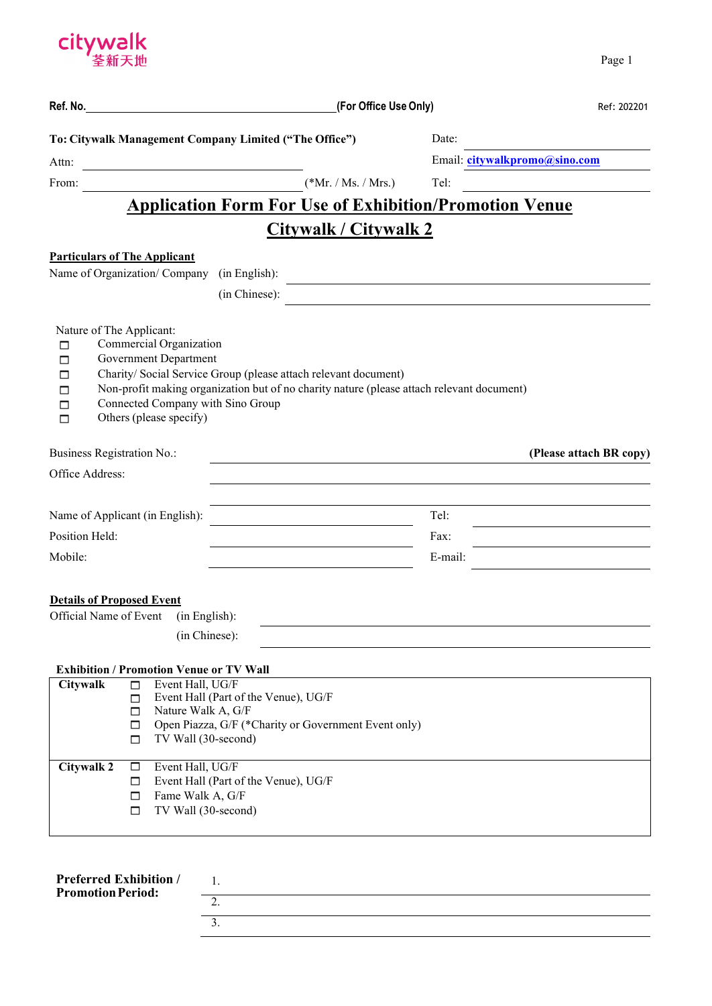

|                                               |                                                                                                                         |                                                                                                                                                              | (For Office Use Only) |                               | Ref: 202201             |
|-----------------------------------------------|-------------------------------------------------------------------------------------------------------------------------|--------------------------------------------------------------------------------------------------------------------------------------------------------------|-----------------------|-------------------------------|-------------------------|
|                                               |                                                                                                                         | To: Citywalk Management Company Limited ("The Office")                                                                                                       |                       | Date:                         |                         |
| Attn:                                         |                                                                                                                         |                                                                                                                                                              |                       | Email: citywalkpromo@sino.com |                         |
| From:                                         |                                                                                                                         | $(*Mr. / Ms. / Mrs.)$                                                                                                                                        |                       | Tel:                          |                         |
|                                               |                                                                                                                         | <b>Application Form For Use of Exhibition/Promotion Venue</b>                                                                                                |                       |                               |                         |
|                                               |                                                                                                                         | <b>Citywalk / Citywalk 2</b>                                                                                                                                 |                       |                               |                         |
| <b>Particulars of The Applicant</b>           |                                                                                                                         |                                                                                                                                                              |                       |                               |                         |
|                                               | Name of Organization/Company (in English):                                                                              |                                                                                                                                                              |                       |                               |                         |
|                                               |                                                                                                                         | (in Chinese):                                                                                                                                                |                       |                               |                         |
|                                               |                                                                                                                         |                                                                                                                                                              |                       |                               |                         |
| Nature of The Applicant:<br>□<br>П<br>□       | Commercial Organization<br><b>Government Department</b><br>Connected Company with Sino Group<br>Others (please specify) | Charity/ Social Service Group (please attach relevant document)<br>Non-profit making organization but of no charity nature (please attach relevant document) |                       |                               |                         |
|                                               |                                                                                                                         |                                                                                                                                                              |                       |                               |                         |
| Business Registration No.:<br>Office Address: |                                                                                                                         |                                                                                                                                                              |                       |                               | (Please attach BR copy) |
|                                               |                                                                                                                         |                                                                                                                                                              |                       |                               |                         |
|                                               | Name of Applicant (in English):                                                                                         |                                                                                                                                                              |                       | Tel:                          |                         |
| Position Held:                                |                                                                                                                         |                                                                                                                                                              |                       | Fax:                          |                         |
| Mobile:                                       |                                                                                                                         |                                                                                                                                                              |                       | E-mail:                       |                         |
|                                               |                                                                                                                         |                                                                                                                                                              |                       |                               |                         |
| <b>Details of Proposed Event</b>              | Official Name of Event (in English):                                                                                    |                                                                                                                                                              |                       |                               |                         |
|                                               | (in Chinese):                                                                                                           |                                                                                                                                                              |                       |                               |                         |
|                                               |                                                                                                                         |                                                                                                                                                              |                       |                               |                         |
| Citywalk                                      | <b>Exhibition / Promotion Venue or TV Wall</b><br>Event Hall, UG/F<br>$\Box$                                            |                                                                                                                                                              |                       |                               |                         |
|                                               | □                                                                                                                       | Event Hall (Part of the Venue), UG/F                                                                                                                         |                       |                               |                         |
|                                               | Nature Walk A, G/F<br>□<br>□                                                                                            | Open Piazza, G/F (*Charity or Government Event only)                                                                                                         |                       |                               |                         |
|                                               | TV Wall (30-second)<br>□                                                                                                |                                                                                                                                                              |                       |                               |                         |
| <b>Citywalk 2</b>                             | Event Hall, UG/F<br>$\Box$                                                                                              |                                                                                                                                                              |                       |                               |                         |
|                                               | □                                                                                                                       | Event Hall (Part of the Venue), UG/F                                                                                                                         |                       |                               |                         |
|                                               | Fame Walk A, G/F<br>□                                                                                                   |                                                                                                                                                              |                       |                               |                         |
|                                               | TV Wall (30-second)<br>□                                                                                                |                                                                                                                                                              |                       |                               |                         |
|                                               |                                                                                                                         |                                                                                                                                                              |                       |                               |                         |
|                                               |                                                                                                                         |                                                                                                                                                              |                       |                               |                         |

| <b>Preferred Exhibition /</b><br><b>Promotion Period:</b> |  |
|-----------------------------------------------------------|--|
|                                                           |  |
|                                                           |  |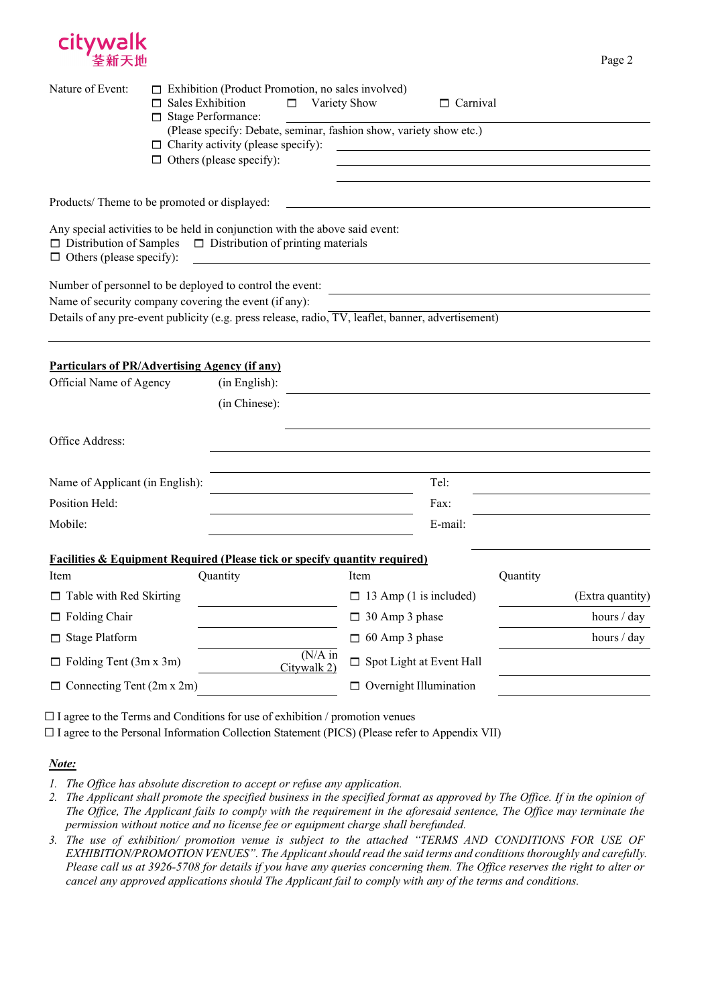

| Nature of Event:                                                                                                                                                                           | $\Box$ Sales Exhibition<br>□ Stage Performance: | $\Box$ Exhibition (Product Promotion, no sales involved)<br>П.                                                                                     |                           | Variety Show          | $\Box$ Carnival                 |          |                  |
|--------------------------------------------------------------------------------------------------------------------------------------------------------------------------------------------|-------------------------------------------------|----------------------------------------------------------------------------------------------------------------------------------------------------|---------------------------|-----------------------|---------------------------------|----------|------------------|
|                                                                                                                                                                                            |                                                 | (Please specify: Debate, seminar, fashion show, variety show etc.)<br>$\Box$ Charity activity (please specify):<br>$\Box$ Others (please specify): |                           |                       |                                 |          |                  |
|                                                                                                                                                                                            |                                                 |                                                                                                                                                    |                           |                       |                                 |          |                  |
| Products/Theme to be promoted or displayed:                                                                                                                                                |                                                 |                                                                                                                                                    |                           |                       |                                 |          |                  |
| Any special activities to be held in conjunction with the above said event:<br>$\Box$ Distribution of Samples $\Box$ Distribution of printing materials<br>$\Box$ Others (please specify): |                                                 |                                                                                                                                                    |                           |                       |                                 |          |                  |
| Number of personnel to be deployed to control the event:                                                                                                                                   |                                                 |                                                                                                                                                    |                           |                       |                                 |          |                  |
| Name of security company covering the event (if any):                                                                                                                                      |                                                 |                                                                                                                                                    |                           |                       |                                 |          |                  |
| Details of any pre-event publicity (e.g. press release, radio, TV, leaflet, banner, advertisement)                                                                                         |                                                 |                                                                                                                                                    |                           |                       |                                 |          |                  |
|                                                                                                                                                                                            |                                                 |                                                                                                                                                    |                           |                       |                                 |          |                  |
| <b>Particulars of PR/Advertising Agency (if any)</b>                                                                                                                                       |                                                 |                                                                                                                                                    |                           |                       |                                 |          |                  |
| Official Name of Agency                                                                                                                                                                    |                                                 | (in English):                                                                                                                                      |                           |                       |                                 |          |                  |
|                                                                                                                                                                                            |                                                 | (in Chinese):                                                                                                                                      |                           |                       |                                 |          |                  |
|                                                                                                                                                                                            |                                                 |                                                                                                                                                    |                           |                       |                                 |          |                  |
| Office Address:                                                                                                                                                                            |                                                 |                                                                                                                                                    |                           |                       |                                 |          |                  |
|                                                                                                                                                                                            |                                                 |                                                                                                                                                    |                           |                       |                                 |          |                  |
| Name of Applicant (in English):                                                                                                                                                            |                                                 |                                                                                                                                                    |                           |                       | Tel:                            |          |                  |
| Position Held:                                                                                                                                                                             |                                                 |                                                                                                                                                    |                           |                       | Fax:                            |          |                  |
| Mobile:                                                                                                                                                                                    |                                                 |                                                                                                                                                    |                           |                       | E-mail:                         |          |                  |
| <b>Facilities &amp; Equipment Required (Please tick or specify quantity required)</b>                                                                                                      |                                                 |                                                                                                                                                    |                           |                       |                                 |          |                  |
| Item                                                                                                                                                                                       |                                                 | Quantity                                                                                                                                           |                           | Item                  |                                 | Quantity |                  |
| $\Box$ Table with Red Skirting                                                                                                                                                             |                                                 |                                                                                                                                                    |                           |                       | $\Box$ 13 Amp (1 is included)   |          | (Extra quantity) |
| $\Box$ Folding Chair                                                                                                                                                                       |                                                 |                                                                                                                                                    |                           | $\Box$ 30 Amp 3 phase |                                 |          | hours / day      |
| $\Box$ Stage Platform                                                                                                                                                                      |                                                 |                                                                                                                                                    |                           | $\Box$ 60 Amp 3 phase |                                 |          | hours $/$ day    |
| $\Box$ Folding Tent (3m x 3m)                                                                                                                                                              |                                                 |                                                                                                                                                    | $(N/A)$ in<br>Citywalk 2) |                       | $\Box$ Spot Light at Event Hall |          |                  |
| $\Box$ Connecting Tent (2m x 2m)                                                                                                                                                           |                                                 |                                                                                                                                                    |                           |                       | $\Box$ Overnight Illumination   |          |                  |

Page 2

 $\Box$  I agree to the Terms and Conditions for use of exhibition / promotion venues

☐ I agree to the Personal Information Collection Statement (PICS) (Please refer to Appendix VII)

#### *Note:*

*1. The Office has absolute discretion to accept or refuse any application.*

- *2. The Applicant shall promote the specified business in the specified format as approved by The Office. If in the opinion of The Office, The Applicant fails to comply with the requirement in the aforesaid sentence, The Office may terminate the permission without notice and no license fee or equipment charge shall berefunded.*
- 3. The use of exhibition/ promotion venue is subject to the attached "TERMS AND CONDITIONS FOR USE OF *EXHIBITION/PROMOTION VENUES". The Applicantshould read the said terms and conditionsthoroughly and carefully. Please call us at 3926-5708 for details if you have any queries concerning them. The Office reserves the right to alter or* cancel any approved applications should The Applicant fail to comply with any of the terms and conditions.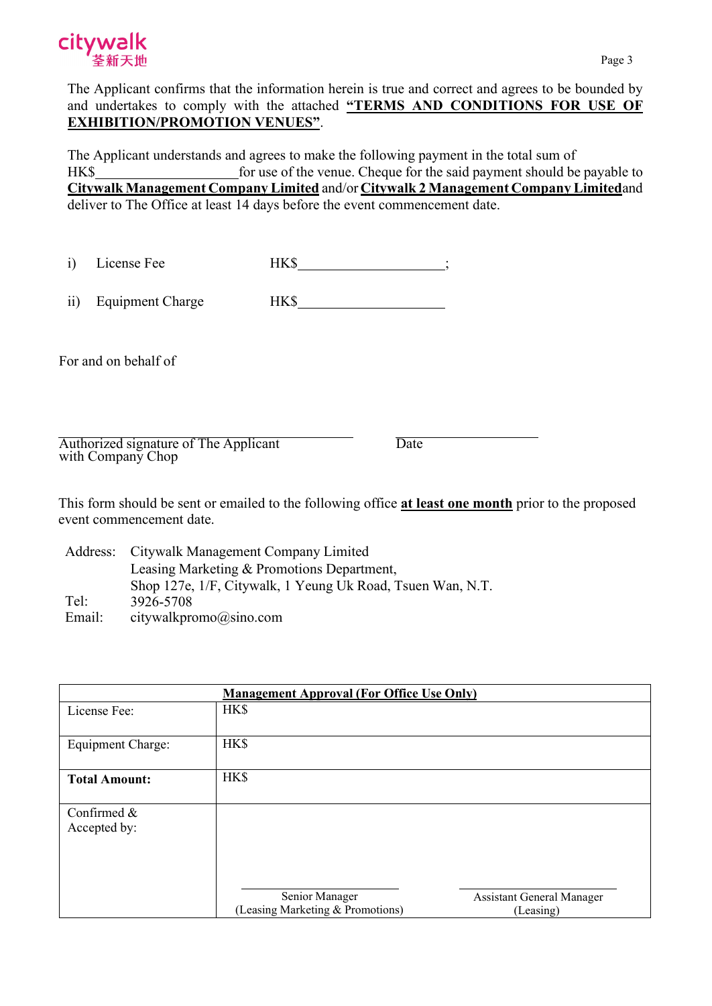

The Applicant confirms that the information herein is true and correct and agrees to be bounded by and undertakes to comply with the attached **"TERMS AND CONDITIONS FOR USE OF EXHIBITION/PROMOTION VENUES"**.

The Applicant understands and agrees to make the following payment in the total sum of HK\$ for use of the venue. Cheque for the said payment should be payable to **Citywalk Management Company Limited** and/or **Citywalk 2 Management Company Limited**and deliver to The Office at least 14 days before the event commencement date.

| ∟icense Fee |      |  |
|-------------|------|--|
|             | ---- |  |

ii) Equipment Charge HK\$

For and on behalf of

Authorized signature of The Applicant with Company Chop

Date

This form should be sent or emailed to the following office **at least one month** prior to the proposed event commencement date.

Address: Citywalk Management Company Limited Tel: Leasing Marketing & Promotions Department, Shop 127e, 1/F, Citywalk, 1 Yeung Uk Road, Tsuen Wan, N.T. 3926-5708 Email: [citywalkpromo@sino.com](mailto:citywalkpromo@sino.com)

| <b>Management Approval (For Office Use Only)</b> |                                                    |                                               |  |  |  |
|--------------------------------------------------|----------------------------------------------------|-----------------------------------------------|--|--|--|
| License Fee:                                     | HK\$                                               |                                               |  |  |  |
| <b>Equipment Charge:</b>                         | <b>HK\$</b>                                        |                                               |  |  |  |
| <b>Total Amount:</b>                             | HK\$                                               |                                               |  |  |  |
| Confirmed &<br>Accepted by:                      |                                                    |                                               |  |  |  |
|                                                  | Senior Manager<br>(Leasing Marketing & Promotions) | <b>Assistant General Manager</b><br>(Leasing) |  |  |  |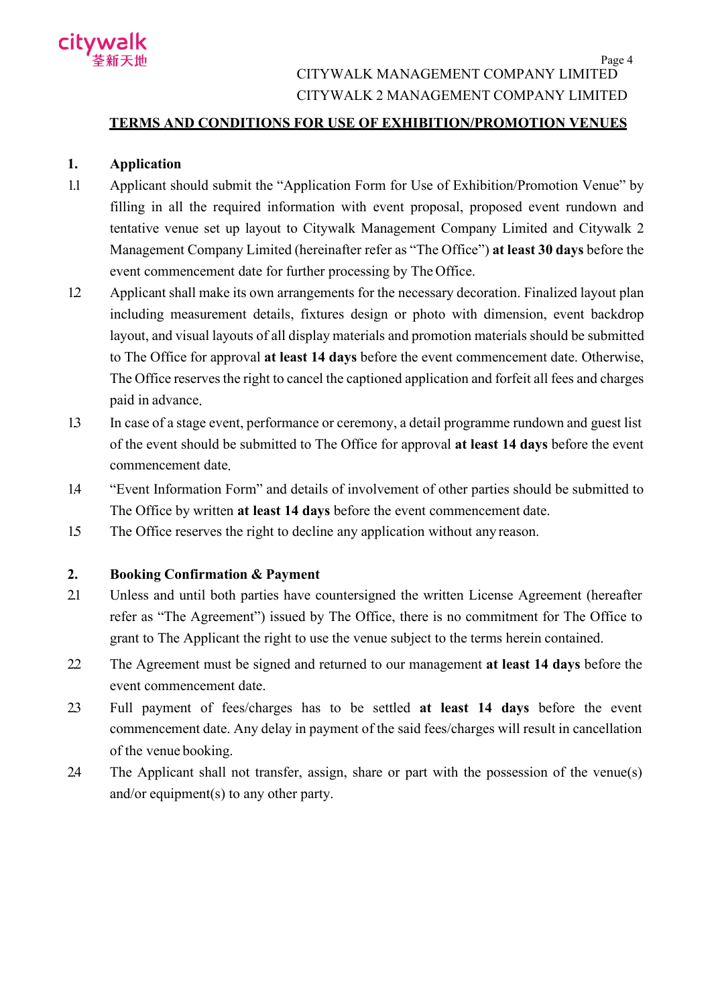

## CITYWALK MANAGEMENT COMPANY LIMITED CITYWALK 2 MANAGEMENT COMPANY LIMITED

## **TERMS AND CONDITIONS FOR USE OF EXHIBITION/PROMOTION VENUES**

## **1. Application**

- 1.1 Applicant should submit the "Application Form for Use of Exhibition/Promotion Venue" by filling in all the required information with event proposal, proposed event rundown and tentative venue set up layout to Citywalk Management Company Limited and Citywalk 2 Management Company Limited (hereinafter refer as "The Office") **at least 30 days** before the event commencement date for further processing by The Office.
- 1.2 Applicant shall make its own arrangements for the necessary decoration. Finalized layout plan including measurement details, fixtures design or photo with dimension, event backdrop layout, and visual layouts of all display materials and promotion materials should be submitted to The Office for approval **at least 14 days** before the event commencement date. Otherwise, The Office reserves the right to cancel the captioned application and forfeit all fees and charges paid in advance.
- 1.3 In case of a stage event, performance or ceremony, a detail programme rundown and guest list of the event should be submitted to The Office for approval **at least 14 days** before the event commencement date.
- 1.4 "Event Information Form" and details of involvement of other parties should be submitted to The Office by written **at least 14 days** before the event commencement date.
- 1.5 The Office reserves the right to decline any application without any reason.

## **2. Booking Confirmation & Payment**

- 2.1 Unless and until both parties have countersigned the written License Agreement (hereafter refer as "The Agreement") issued by The Office, there is no commitment for The Office to grant to The Applicant the right to use the venue subject to the terms herein contained.
- 2.2 The Agreement must be signed and returned to our management **at least 14 days** before the event commencement date.
- 2.3 Full payment of fees/charges has to be settled **at least 14 days** before the event commencement date. Any delay in payment of the said fees/charges will result in cancellation of the venue booking.
- 2.4 The Applicant shall not transfer, assign, share or part with the possession of the venue(s) and/or equipment(s) to any other party.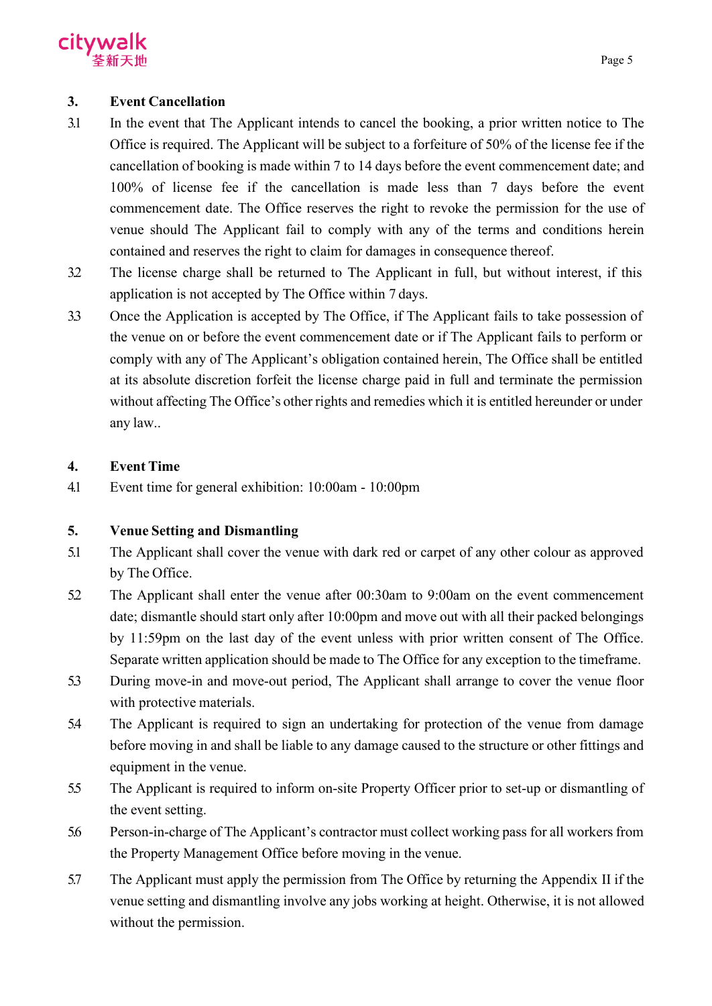

## **3. Event Cancellation**

- 3.1 In the event that The Applicant intends to cancel the booking, a prior written notice to The Office is required. The Applicant will be subject to a forfeiture of 50% of the license fee if the cancellation of booking is made within 7 to 14 days before the event commencement date; and 100% of license fee if the cancellation is made less than 7 days before the event commencement date. The Office reserves the right to revoke the permission for the use of venue should The Applicant fail to comply with any of the terms and conditions herein contained and reserves the right to claim for damages in consequence thereof.
- 3.2 The license charge shall be returned to The Applicant in full, but without interest, if this application is not accepted by The Office within 7 days.
- 3.3 Once the Application is accepted by The Office, if The Applicant fails to take possession of the venue on or before the event commencement date or if The Applicant fails to perform or comply with any of The Applicant's obligation contained herein, The Office shall be entitled at its absolute discretion forfeit the license charge paid in full and terminate the permission without affecting The Office's other rights and remedies which it is entitled hereunder or under any law..

## **4. Event Time**

4.1 Event time for general exhibition: 10:00am - 10:00pm

## **5. Venue Setting and Dismantling**

- 5.1 The Applicant shall cover the venue with dark red or carpet of any other colour as approved by The Office.
- 5.2 The Applicant shall enter the venue after 00:30am to 9:00am on the event commencement date; dismantle should start only after 10:00pm and move out with all their packed belongings by 11:59pm on the last day of the event unless with prior written consent of The Office. Separate written application should be made to The Office for any exception to the timeframe.
- 5.3 During move-in and move-out period, The Applicant shall arrange to cover the venue floor with protective materials.
- 5.4 The Applicant is required to sign an undertaking for protection of the venue from damage before moving in and shall be liable to any damage caused to the structure or other fittings and equipment in the venue.
- 5.5 The Applicant is required to inform on-site Property Officer prior to set-up or dismantling of the event setting.
- 5.6 Person-in-charge of The Applicant's contractor must collect working pass for all workers from the Property Management Office before moving in the venue.
- 5.7 The Applicant must apply the permission from The Office by returning the Appendix II if the venue setting and dismantling involve any jobs working at height. Otherwise, it is not allowed without the permission.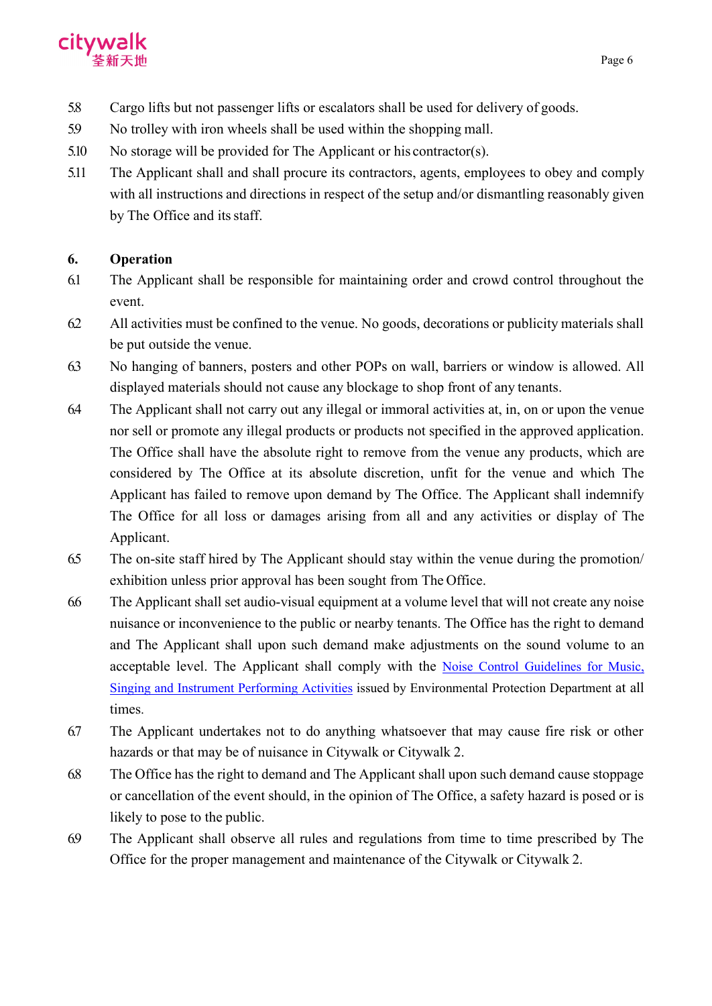

- 5.8 Cargo lifts but not passenger lifts or escalators shall be used for delivery of goods.
- 5.9 No trolley with iron wheels shall be used within the shopping mall.
- 5.10 No storage will be provided for The Applicant or his contractor(s).
- 5.11 The Applicant shall and shall procure its contractors, agents, employees to obey and comply with all instructions and directions in respect of the setup and/or dismantling reasonably given by The Office and its staff.

## **6. Operation**

- 6.1 The Applicant shall be responsible for maintaining order and crowd control throughout the event.
- 6.2 All activities must be confined to the venue. No goods, decorations or publicity materials shall be put outside the venue.
- 6.3 No hanging of banners, posters and other POPs on wall, barriers or window is allowed. All displayed materials should not cause any blockage to shop front of any tenants.
- 6.4 The Applicant shall not carry out any illegal or immoral activities at, in, on or upon the venue nor sell or promote any illegal products or products not specified in the approved application. The Office shall have the absolute right to remove from the venue any products, which are considered by The Office at its absolute discretion, unfit for the venue and which The Applicant has failed to remove upon demand by The Office. The Applicant shall indemnify The Office for all loss or damages arising from all and any activities or display of The Applicant.
- 6.5 The on-site staff hired by The Applicant should stay within the venue during the promotion/ exhibition unless prior approval has been sought from The Office.
- 6.6 The Applicant shall set audio-visual equipment at a volume level that will not create any noise nuisance or inconvenience to the public or nearby tenants. The Office has the right to demand and The Applicant shall upon such demand make adjustments on the sound volume to an acceptable level. The Applicant shall comply with the [Noise Control Guidelines for Music,](https://www.epd.gov.hk/epd/sites/default/files/epd/english/environmentinhk/noise/help_corner/files/a_entgui_e.pdf) [Singing and Instrument Performing Activities](https://www.epd.gov.hk/epd/sites/default/files/epd/english/environmentinhk/noise/help_corner/files/a_entgui_e.pdf) issued by Environmental Protection Department at all times.
- 6.7 The Applicant undertakes not to do anything whatsoever that may cause fire risk or other hazards or that may be of nuisance in Citywalk or Citywalk 2.
- 6.8 The Office has the right to demand and The Applicant shall upon such demand cause stoppage or cancellation of the event should, in the opinion of The Office, a safety hazard is posed or is likely to pose to the public.
- 6.9 The Applicant shall observe all rules and regulations from time to time prescribed by The Office for the proper management and maintenance of the Citywalk or Citywalk 2.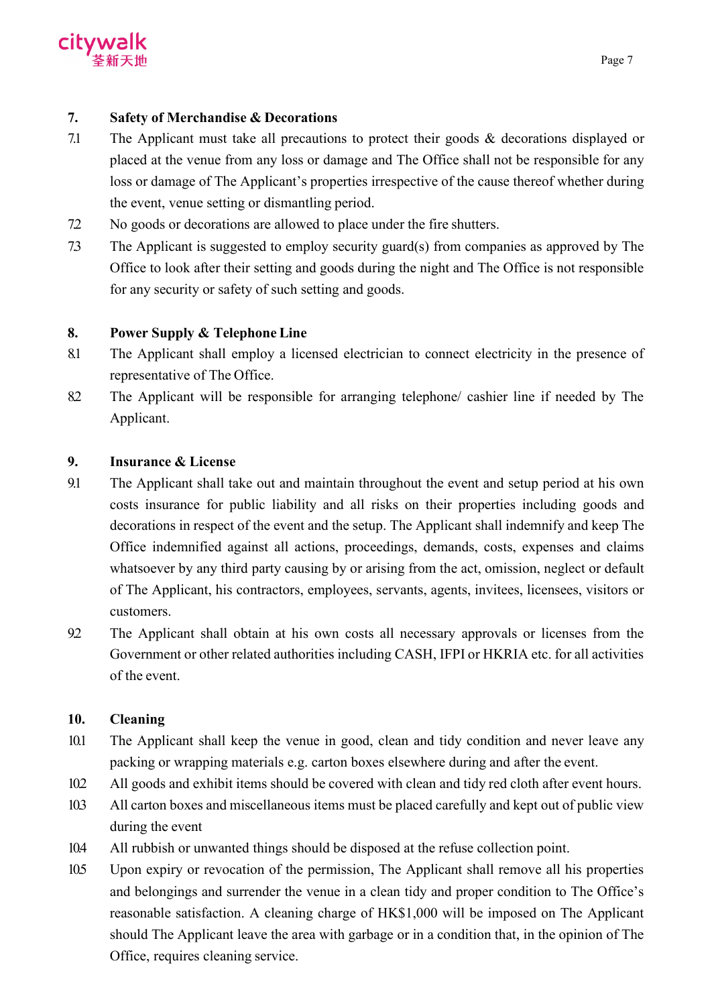

## **7. Safety of Merchandise & Decorations**

- 7.1 The Applicant must take all precautions to protect their goods & decorations displayed or placed at the venue from any loss or damage and The Office shall not be responsible for any loss or damage of The Applicant's properties irrespective of the cause thereof whether during the event, venue setting or dismantling period.
- 7.2 No goods or decorations are allowed to place under the fire shutters.
- 7.3 The Applicant is suggested to employ security guard(s) from companies as approved by The Office to look after their setting and goods during the night and The Office is not responsible for any security or safety of such setting and goods.

## **8. Power Supply & Telephone Line**

- 8.1 The Applicant shall employ a licensed electrician to connect electricity in the presence of representative of The Office.
- 8.2 The Applicant will be responsible for arranging telephone/ cashier line if needed by The Applicant.

## **9. Insurance & License**

- 9.1 The Applicant shall take out and maintain throughout the event and setup period at his own costs insurance for public liability and all risks on their properties including goods and decorations in respect of the event and the setup. The Applicant shall indemnify and keep The Office indemnified against all actions, proceedings, demands, costs, expenses and claims whatsoever by any third party causing by or arising from the act, omission, neglect or default of The Applicant, his contractors, employees, servants, agents, invitees, licensees, visitors or customers.
- 9.2 The Applicant shall obtain at his own costs all necessary approvals or licenses from the Government or other related authorities including CASH, IFPI or HKRIA etc. for all activities of the event.

## **10. Cleaning**

- 10.1 The Applicant shall keep the venue in good, clean and tidy condition and never leave any packing or wrapping materials e.g. carton boxes elsewhere during and after the event.
- 10.2 All goods and exhibit items should be covered with clean and tidy red cloth after event hours.
- 10.3 All carton boxes and miscellaneous items must be placed carefully and kept out of public view during the event
- 10.4 All rubbish or unwanted things should be disposed at the refuse collection point.
- 10.5 Upon expiry or revocation of the permission, The Applicant shall remove all his properties and belongings and surrender the venue in a clean tidy and proper condition to The Office's reasonable satisfaction. A cleaning charge of HK\$1,000 will be imposed on The Applicant should The Applicant leave the area with garbage or in a condition that, in the opinion of The Office, requires cleaning service.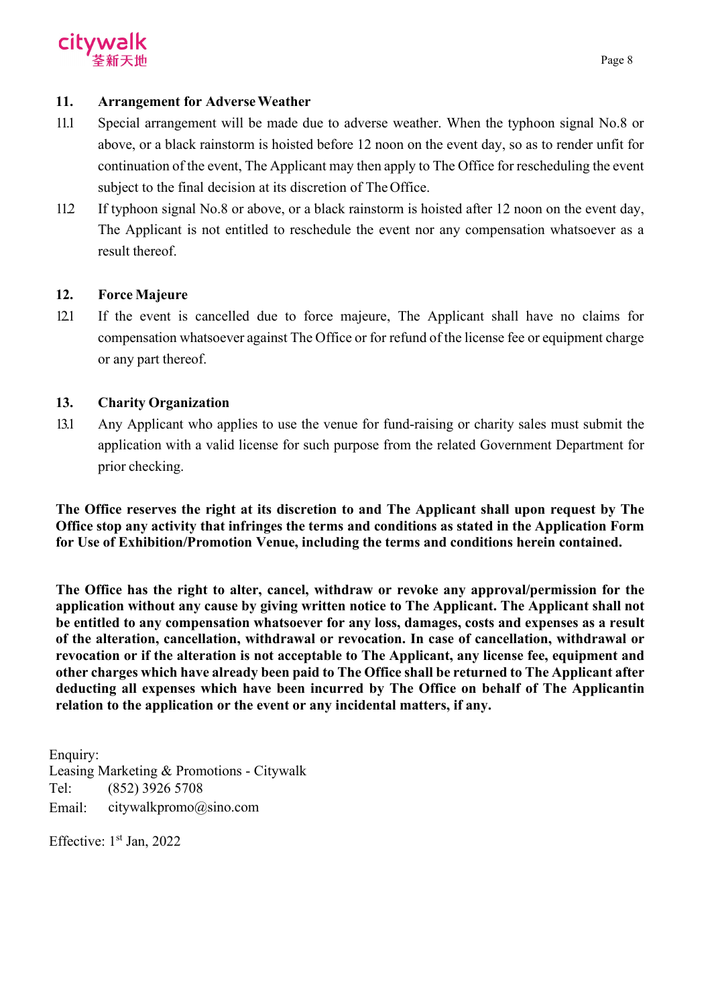

## **11. Arrangement for AdverseWeather**

- 11.1 Special arrangement will be made due to adverse weather. When the typhoon signal No.8 or above, or a black rainstorm is hoisted before 12 noon on the event day, so as to render unfit for continuation of the event, The Applicant may then apply to The Office for rescheduling the event subject to the final decision at its discretion of The Office.
- 11.2 If typhoon signal No.8 or above, or a black rainstorm is hoisted after 12 noon on the event day, The Applicant is not entitled to reschedule the event nor any compensation whatsoever as a result thereof.

## **12. Force Majeure**

12.1 If the event is cancelled due to force majeure, The Applicant shall have no claims for compensation whatsoever against The Office or for refund of the license fee or equipment charge or any part thereof.

## **13. Charity Organization**

13.1 Any Applicant who applies to use the venue for fund-raising or charity sales must submit the application with a valid license for such purpose from the related Government Department for prior checking.

**The Office reserves the right at its discretion to and The Applicant shall upon request by The Office stop any activity that infringes the terms and conditions as stated in the Application Form for Use of Exhibition/Promotion Venue, including the terms and conditions herein contained.**

**The Office has the right to alter, cancel, withdraw or revoke any approval/permission for the application without any cause by giving written notice to The Applicant. The Applicant shall not be entitled to any compensation whatsoever for any loss, damages, costs and expenses as a result of the alteration, cancellation, withdrawal or revocation. In case of cancellation, withdrawal or revocation or if the alteration is not acceptable to The Applicant, any license fee, equipment and other charges which have already been paid to The Office shall be returned to The Applicant after deducting all expenses which have been incurred by The Office on behalf of The Applicantin relation to the application or the event or any incidental matters, if any.**

Enquiry: Leasing Marketing & Promotions - Citywalk Tel: (852) 3926 5708 Email: [citywalkpromo@sino.com](mailto:citywalkpromo@sino.com)

Effective:  $1<sup>st</sup>$  Jan, 2022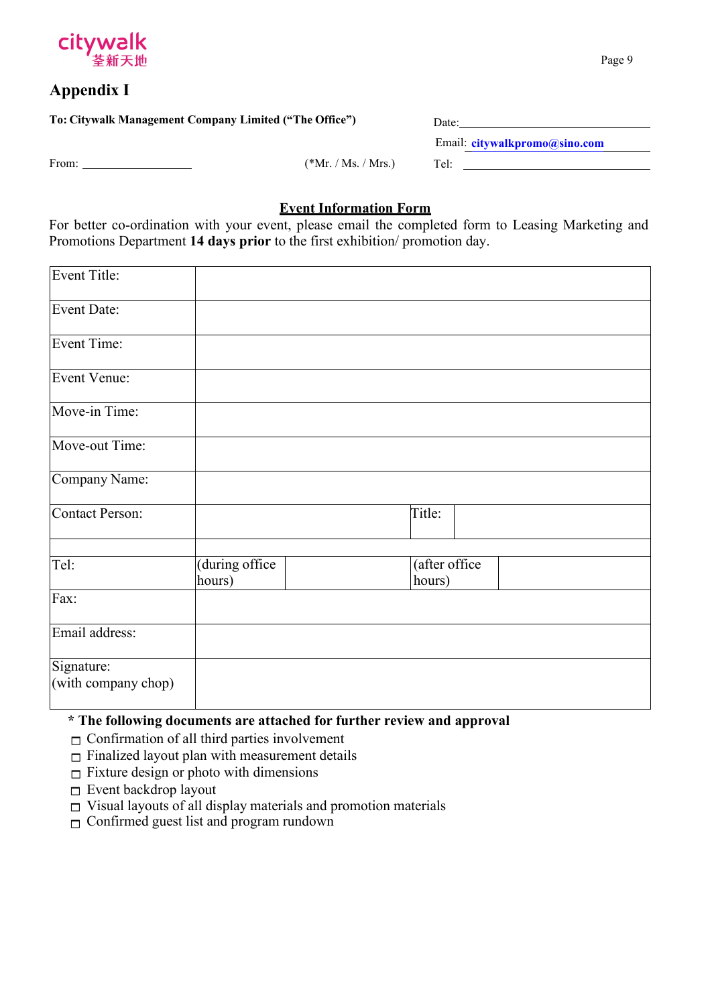

## **Appendix I**

| To: Citywalk Management Company Limited ("The Office") |                       | Date:                         |  |  |
|--------------------------------------------------------|-----------------------|-------------------------------|--|--|
|                                                        |                       | Email: citywalkpromo@sino.com |  |  |
| From:                                                  | $(*Mr. / Ms. / Mrs.)$ | Tel:                          |  |  |

## **Event Information Form**

For better co-ordination with your event, please email the completed form to Leasing Marketing and Promotions Department **14 days prior** to the first exhibition/ promotion day.

| <b>Event Title:</b>               |                          |                         |  |
|-----------------------------------|--------------------------|-------------------------|--|
| <b>Event Date:</b>                |                          |                         |  |
| <b>Event Time:</b>                |                          |                         |  |
| <b>Event Venue:</b>               |                          |                         |  |
| Move-in Time:                     |                          |                         |  |
| Move-out Time:                    |                          |                         |  |
| Company Name:                     |                          |                         |  |
| <b>Contact Person:</b>            |                          | Title:                  |  |
| Tel:                              | (during office<br>hours) | (after office<br>hours) |  |
| Fax:                              |                          |                         |  |
| Email address:                    |                          |                         |  |
| Signature:<br>(with company chop) |                          |                         |  |

## **\* The following documents are attached for further review and approval**

- $\Box$  Confirmation of all third parties involvement
- $\Box$  Finalized layout plan with measurement details
- $\Box$  Fixture design or photo with dimensions
- Event backdrop layout
- $\Box$  Visual layouts of all display materials and promotion materials
- □ Confirmed guest list and program rundown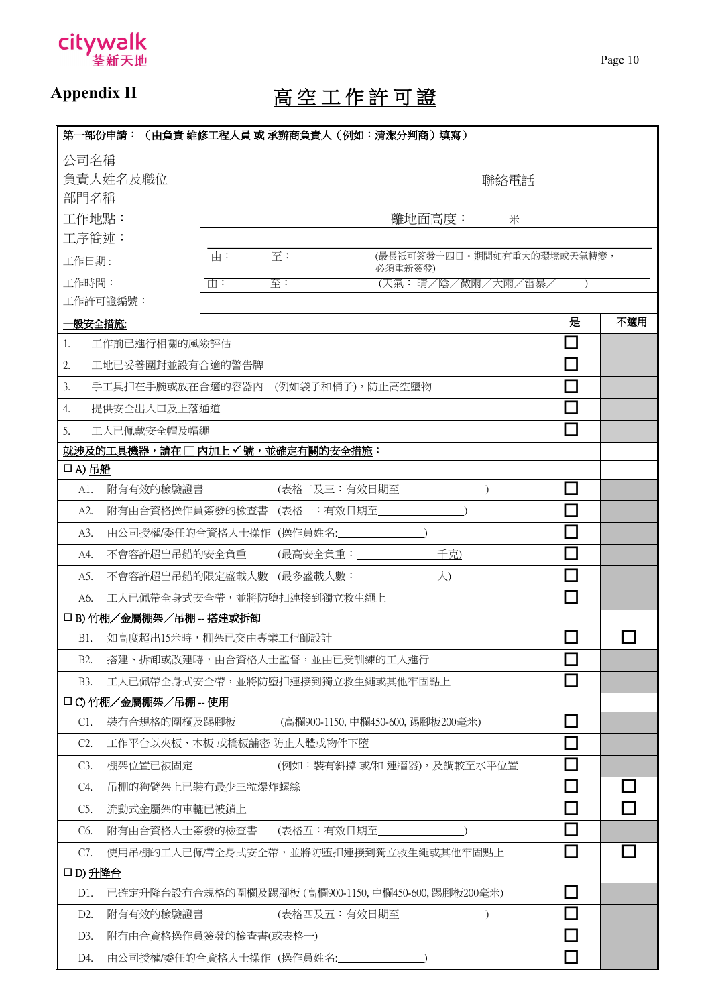

# Appendix II 高空工作許可證

| 第一部份申請: (由負責 維修工程人員 或 承辦商負責人(例如:清潔分判商)填寫)                     |                             |               |  |  |  |  |
|---------------------------------------------------------------|-----------------------------|---------------|--|--|--|--|
| 公司名稱                                                          |                             |               |  |  |  |  |
| 負責人姓名及職位                                                      | 聯絡電話                        |               |  |  |  |  |
| 部門名稱                                                          |                             |               |  |  |  |  |
| 工作地點:<br>離地面高度:<br>米                                          |                             |               |  |  |  |  |
| 工序簡述:                                                         |                             |               |  |  |  |  |
| (最長祇可簽發十四日。期間如有重大的環境或天氣轉變,<br>由:<br>至:<br>工作日期:<br>必須重新簽發)    |                             |               |  |  |  |  |
| 工作時間:<br>$\overline{\mathbb{H}}$ :<br>(天氣:晴/陰/微雨/大雨/雷暴/<br>至: |                             |               |  |  |  |  |
| 工作許可證編號:                                                      |                             |               |  |  |  |  |
| 一般安全措施:                                                       | 是                           | 不適用           |  |  |  |  |
| 工作前已進行相關的風險評估<br>1.                                           | П                           |               |  |  |  |  |
| 2.<br>工地已妥善圍封並設有合適的警告牌                                        | П                           |               |  |  |  |  |
| 手工具扣在手腕或放在合適的容器内 (例如袋子和桶子),防止高空墮物<br>3.                       | $\Box$                      |               |  |  |  |  |
| 提供安全出入口及上落通道<br>4.                                            | П                           |               |  |  |  |  |
| 5.<br>工人已佩戴安全帽及帽繩                                             | П                           |               |  |  |  |  |
| 就涉及的工具機器,請在□内加上√號,並確定有關的安全措施:                                 |                             |               |  |  |  |  |
| 口A)吊船                                                         |                             |               |  |  |  |  |
| (表格二及三:有效日期至<br>附有有效的檢驗證書<br>A1.                              | ٦                           |               |  |  |  |  |
| 附有由合資格操作員簽發的檢查書 (表格一:有效日期至<br>A2.                             | П                           |               |  |  |  |  |
| 由公司授權/委任的合資格人士操作(操作員姓名:<br>A3.                                | $\Box$                      |               |  |  |  |  |
| 千克)<br>不會容許超出吊船的安全負重<br>(最高安全負重:______________<br>A4.         | $\mathcal{L}_{\mathcal{A}}$ |               |  |  |  |  |
| 不會容許超出吊船的限定盛載人數 (最多盛載人數:____________<br>$\Delta$<br>A5.       | П                           |               |  |  |  |  |
| 工人已佩帶全身式安全帶,並將防堕扣連接到獨立救生繩上<br>A6.                             | П                           |               |  |  |  |  |
| 口 B) 竹棚/金屬棚架/吊棚-搭建或拆卸                                         |                             |               |  |  |  |  |
| 如高度超出15米時,棚架已交由專業工程師設計<br>B1.                                 | П                           |               |  |  |  |  |
| 搭建、拆卸或改建時,由合資格人士監督,並由已受訓練的工人進行<br>B2.                         | $\Box$                      |               |  |  |  |  |
| 工人已佩帶全身式安全帶,並將防堕扣連接到獨立救生繩或其他牢固點上<br>B3.                       | $\mathcal{L}_{\mathcal{A}}$ |               |  |  |  |  |
| 口 C) 竹棚/金屬棚架/吊棚 -- 使用                                         |                             |               |  |  |  |  |
| 裝有合規格的圍欄及踢腳板<br>(高欄900-1150, 中欄450-600, 踢腳板200毫米)<br>C1.      | □                           |               |  |  |  |  |
| C2.<br>工作平台以夾板、木板 或橋板舖密 防止人體或物件下墮                             | J.                          |               |  |  |  |  |
| C3.<br>棚架位置已被固定<br>(例如:裝有斜撐 或/和 連牆器),及調較至水平位置                 | $\mathcal{L}_{\mathcal{A}}$ |               |  |  |  |  |
| 吊棚的狗臂架上已裝有最少三粒爆炸螺絲<br>C4.                                     | $\Box$                      | $\mathcal{L}$ |  |  |  |  |
| C5.<br>流動式金屬架的車轆已被鎖上                                          | $\Box$                      | $\sim$        |  |  |  |  |
| C6.<br>附有由合資格人士簽發的檢查書<br>(表格五:有效日期至_                          | П                           |               |  |  |  |  |
| 使用吊棚的工人已佩帶全身式安全帶,並將防堕扣連接到獨立救生繩或其他牢固點上<br>C7.                  | П                           |               |  |  |  |  |
| ロD) 升降台                                                       |                             |               |  |  |  |  |
| 已確定升降台設有合規格的圍欄及踢腳板 (高欄900-1150, 中欄450-600, 踢腳板200毫米)<br>D1.   | П                           |               |  |  |  |  |
| 附有有效的檢驗證書<br>(表格四及五:有效日期至<br>D2.                              | $\Box$                      |               |  |  |  |  |
| D3.<br>附有由合資格操作員簽發的檢查書(或表格一)                                  |                             |               |  |  |  |  |
| 由公司授權/委任的合資格人士操作(操作員姓名:<br>D4.                                | П                           |               |  |  |  |  |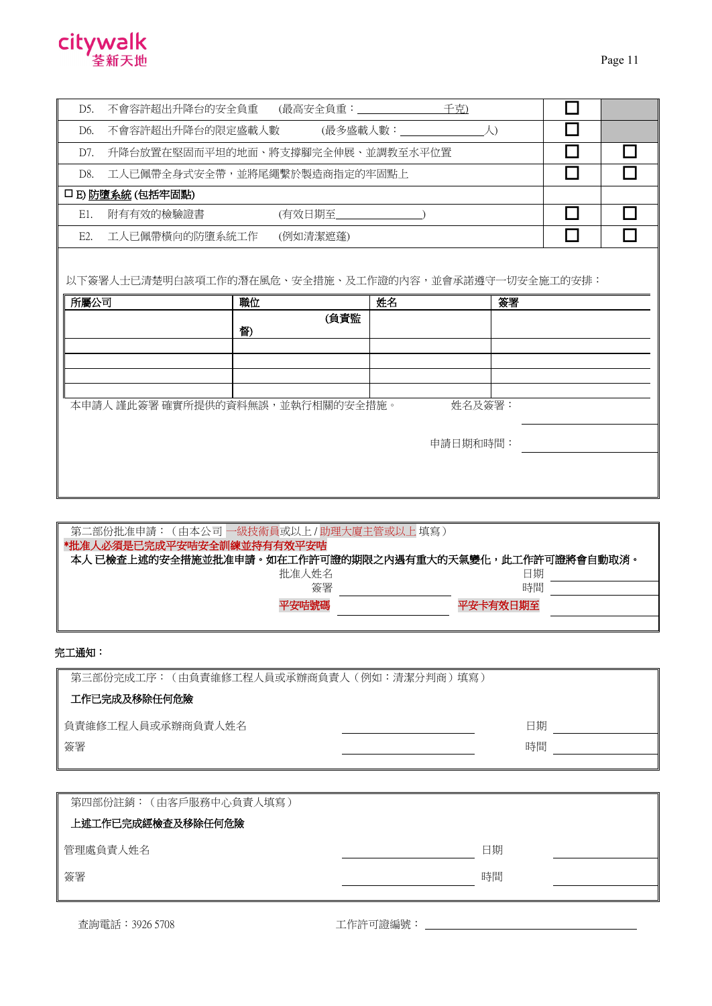

| D5.  | 不會容許超出升降台的安全負重 (最高安全負重: ______________             |                       | 千克) |          |  |
|------|----------------------------------------------------|-----------------------|-----|----------|--|
| D6.  | 不會容許超出升降台的限定盛載人數 (最多盛載人數:___________________人)     |                       |     |          |  |
| D7.  | 升降台放置在堅固而平坦的地面、將支撐腳完全伸展、並調教至水平位置                   |                       |     |          |  |
| D8.  | 工人已佩帶全身式安全帶,並將尾繩繫於製造商指定的牢固點上                       |                       |     |          |  |
|      | 口 E) 防墮系統 (包括牢固點)                                  |                       |     |          |  |
| E1.  | 附有有效的檢驗證書                                          | (有效日期至_______________ |     |          |  |
| E2.  | 工人已佩帶橫向的防墮系統工作                                     | (例如清潔遮蓬)              |     |          |  |
| 所屬公司 | 以下簽署人士已清楚明白該項工作的潛在風危、安全措施、及工作證的內容,並會承諾遵守一切安全施工的安排: | 職位<br>(負責監            | 姓名  | 簽署       |  |
|      |                                                    | 督)                    |     |          |  |
|      |                                                    |                       |     |          |  |
|      |                                                    |                       |     |          |  |
|      |                                                    |                       |     |          |  |
|      | 本申請人 謹此簽署 確實所提供的資料無誤,並執行相關的安全措施。                   |                       |     | 姓名及簽署:   |  |
|      |                                                    |                       |     | 申請日期和時間: |  |
|      |                                                    |                       |     |          |  |

| 第二部份批准申請:(由本公司   一級技術員或以上 / 助理大廈主管或以上 填寫 )             |          |  |
|--------------------------------------------------------|----------|--|
| *批准人必須是已完成平安咭安全訓練並持有有效平安咭                              |          |  |
| 本人 已檢查上述的安全措施並批准申請。如在工作許可證的期限之内遇有重大的天氣變化,此工作許可證將會自動取消。 |          |  |
| 批准人姓名                                                  | 日期       |  |
| 簽署                                                     | 時間       |  |
| 平安咭號碼                                                  | 平安卡有效日期至 |  |
|                                                        |          |  |

#### 完工通知:

| 第三部份完成工序: (由負責維修工程人員或承辦商負責人 (例如:清潔分判商)填寫) |    |  |  |  |
|-------------------------------------------|----|--|--|--|
| 工作已完成及移除任何危險                              |    |  |  |  |
| 負責維修工程人員或承辦商負責人姓名                         | 日期 |  |  |  |
| 簽署                                        | 時間 |  |  |  |

| 第四部份註銷: (由客戶服務中心負責人填寫) |    |  |
|------------------------|----|--|
| 上述工作已完成經檢查及移除任何危險      |    |  |
| 管理處負責人姓名               | 日期 |  |
| 簽署                     | 時間 |  |
|                        |    |  |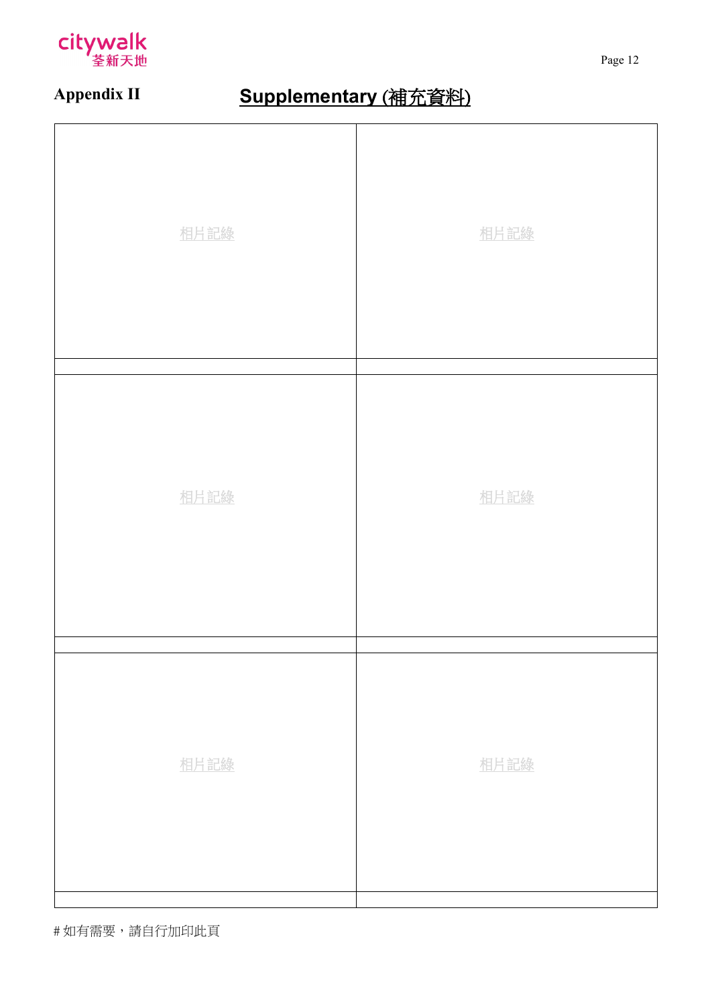

# **Appendix II Supplementary** (補充資料)

| 相片記錄 | 相片記錄 |
|------|------|
| 相片記錄 | 相片記錄 |
| 相片記錄 | 相片記錄 |

# 如有需要,請自行加印此頁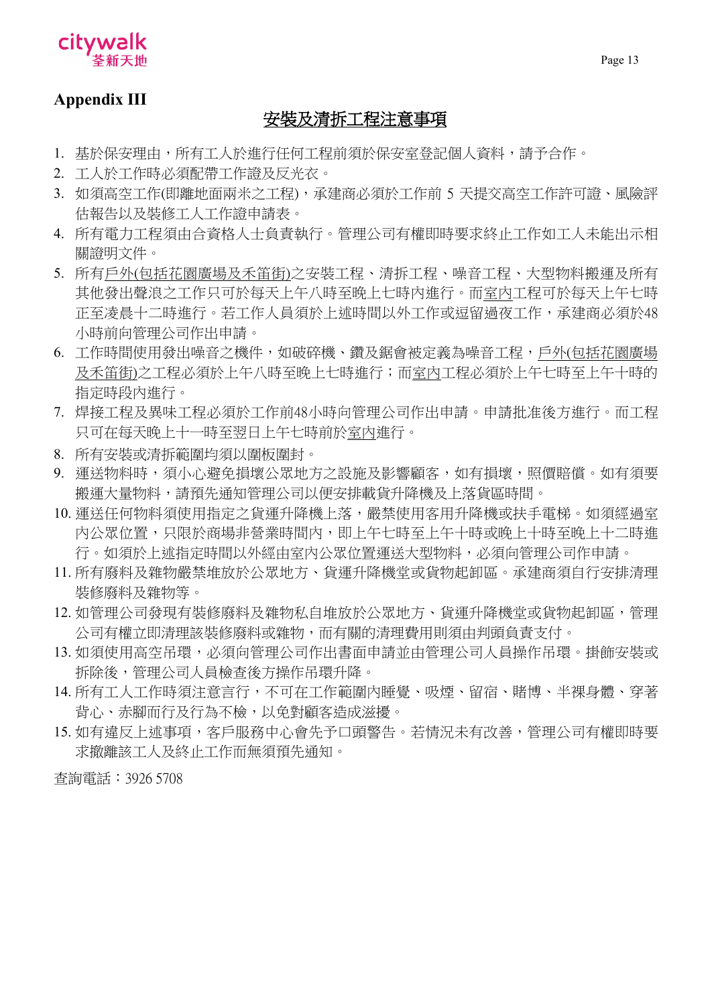

## **Appendix III**

## 安裝及清拆工程注意事項

- 1. 基於保安理由,所有工人於進行任何工程前須於保安室登記個人資料,請予合作。
- 2. 工人於工作時必須配帶工作證及反光衣。
- 3. 如須高空工作(即離地面兩米之工程),承建商必須於工作前 5 天提交高空工作許可證、風險評 估報告以及裝修工人工作證申請表。
- 4. 所有電力工程須由合資格人士負責執行。管理公司有權即時要求終止工作如工人未能出示相 關證明文件。
- 5. 所有戶外(包括花園廣場及禾笛街)之安裝工程、清拆工程、噪音工程、大型物料搬運及所有 其他發出聲浪之工作只可於每天上午八時至晚上七時內進行。而室內工程可於每天上午七時 正至凌晨十二時進行。若工作人員須於上述時間以外工作或逗留過夜工作,承建商必須於48 小時前向管理公司作出申請。
- 6. 工作時間使用發出噪音之機件,如破碎機、鑽及鋸會被定義為噪音工程,戶外(包括花園廣場 及禾笛街)之工程必須於上午八時至晚上七時進行;而室內工程必須於上午七時至上午十時的 指定時段內進行。
- 7. 焊接工程及異味工程必須於工作前48小時向管理公司作出申請。申請批准後方進行。而工程 只可在每天晚上十一時至翌日上午七時前於室內進行。
- 8. 所有安裝或清拆範圍均須以圍板圍封。
- 9. 運送物料時,須小心避免損壞公眾地方之設施及影響顧客,如有損壞,照價賠償。如有須要 搬運大量物料,請預先通知管理公司以便安排載貨升降機及上落貨區時間。
- 10. 運送任何物料須使用指定之貨運升降機上落,嚴禁使用客用升降機或扶手電梯。如須經過室 內公眾位置,只限於商場非營業時間內,即上午七時至上午十時或晚上十時至晚上十二時進 行。如須於上述指定時間以外經由室內公眾位置運送大型物料,必須向管理公司作申請。
- 11. 所有廢料及雜物嚴禁堆放於公眾地方、貨運升降機堂或貨物起卸區。承建商須自行安排清理 裝修廢料及雜物等。
- 12. 如管理公司發現有裝修廢料及雜物私自堆放於公眾地方、貨運升降機堂或貨物起卸區,管理 公司有權立即清理該裝修廢料或雜物,而有關的清理費用則須由判頭負責支付。
- 13. 如須使用高空吊環,必須向管理公司作出書面申請並由管理公司人員操作吊環。掛飾安裝或 拆除後,管理公司人員檢查後方操作吊環升降。
- 14. 所有工人工作時須注意言行,不可在工作範圍內睡覺、吸煙、留宿、賭博、半裸身體、穿著 背心、赤腳而行及行為不檢,以免對顧客造成滋擾。
- 15. 如有違反上述事項,客戶服務中心會先予口頭警告。若情況未有改善,管理公司有權即時要 求撤離該工人及終止工作而無須預先通知。

查詢電話︰3926 5708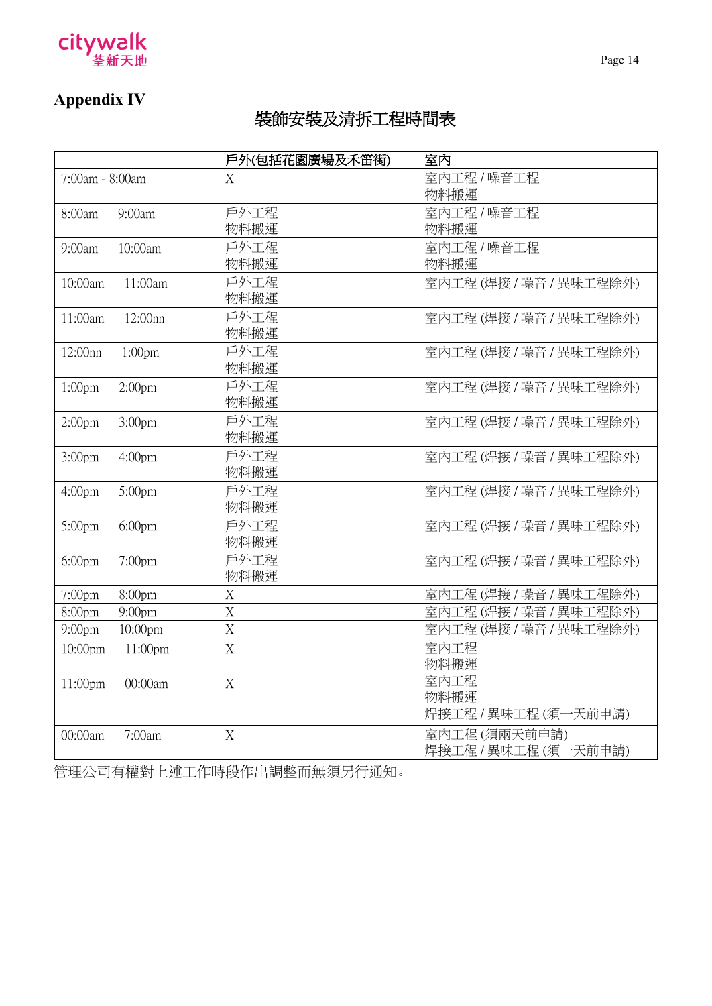

## **Appendix IV**

## 裝飾安裝及清拆工程時間表

|                                          | 戶外(包括花園廣場及禾笛街)   | 室内                      |
|------------------------------------------|------------------|-------------------------|
| 7:00am - 8:00am                          | X                | 室内工程 / 噪音工程             |
|                                          |                  | 物料搬運                    |
| 9:00am<br>8:00am                         | 戶外工程             | 室内工程 / 噪音工程             |
|                                          | 物料搬運             | 物料搬運                    |
| $9:00$ am<br>10:00am                     | 戶外工程             | 室内工程 / 噪音工程             |
|                                          | 物料搬運             | 物料搬運                    |
| 10:00am<br>11:00am                       | 戶外工程             | 室内工程(焊接/噪音/異味工程除外)      |
|                                          | 物料搬運             |                         |
| 11:00am<br>12:00nn                       | 戶外工程             | 室内工程 (焊接 / 噪音 / 異味工程除外) |
|                                          | 物料搬運             |                         |
| 12:00nn<br>$1:00$ pm                     | 戶外工程             | 室内工程(焊接/噪音/異味工程除外)      |
|                                          | 物料搬運             |                         |
| 1:00 <sub>pm</sub><br>2:00 <sub>pm</sub> | 戶外工程             | 室内工程 (焊接 / 噪音 / 異味工程除外) |
|                                          | 物料搬運             |                         |
| 2:00 <sub>pm</sub><br>3:00 <sub>pm</sub> | 戶外工程             | 室内工程(焊接/噪音/異味工程除外)      |
|                                          | 物料搬運             |                         |
| 3:00 <sub>pm</sub><br>4:00 <sub>pm</sub> | 戶外工程             | 室内工程(焊接/噪音/異味工程除外)      |
|                                          | 物料搬運             |                         |
| 4:00 <sub>pm</sub><br>5:00pm             | 戶外工程             | 室内工程 (焊接 / 噪音 / 異味工程除外) |
|                                          | 物料搬運             |                         |
| 5:00pm<br>$6:00$ pm                      | 戶外工程             | 室内工程 (焊接 / 噪音 / 異味工程除外) |
|                                          | 物料搬運             |                         |
| $6:00$ pm<br>$7:00$ pm                   | 戶外工程             | 室内工程 (焊接 / 噪音 / 異味工程除外) |
|                                          | 物料搬運             |                         |
| 8:00pm<br>7:00pm                         | X                | 室内工程 (焊接 / 噪音 / 異味工程除外) |
| 8:00pm<br>$9:00$ pm                      | $\mathbf X$      | 室内工程 (焊接 / 噪音 / 異味工程除外) |
| 10:00pm<br>$9:00$ pm                     | $\overline{X}$   | 室内工程(焊接/噪音/異味工程除外)      |
| 10:00pm<br>11:00pm                       | $\boldsymbol{X}$ | 室内工程                    |
|                                          |                  | 物料搬運                    |
| 11:00pm<br>00:00am                       | X                | 室内工程                    |
|                                          |                  | 物料搬運                    |
|                                          |                  | 焊接工程 / 異味工程 (須一天前申請)    |
| 00:00am<br>7:00am                        | X                | 室内工程(須兩天前申請)            |
|                                          |                  | 焊接工程 / 異味工程 (須一天前申請)    |

管理公司有權對上述工作時段作出調整而無須另行通知。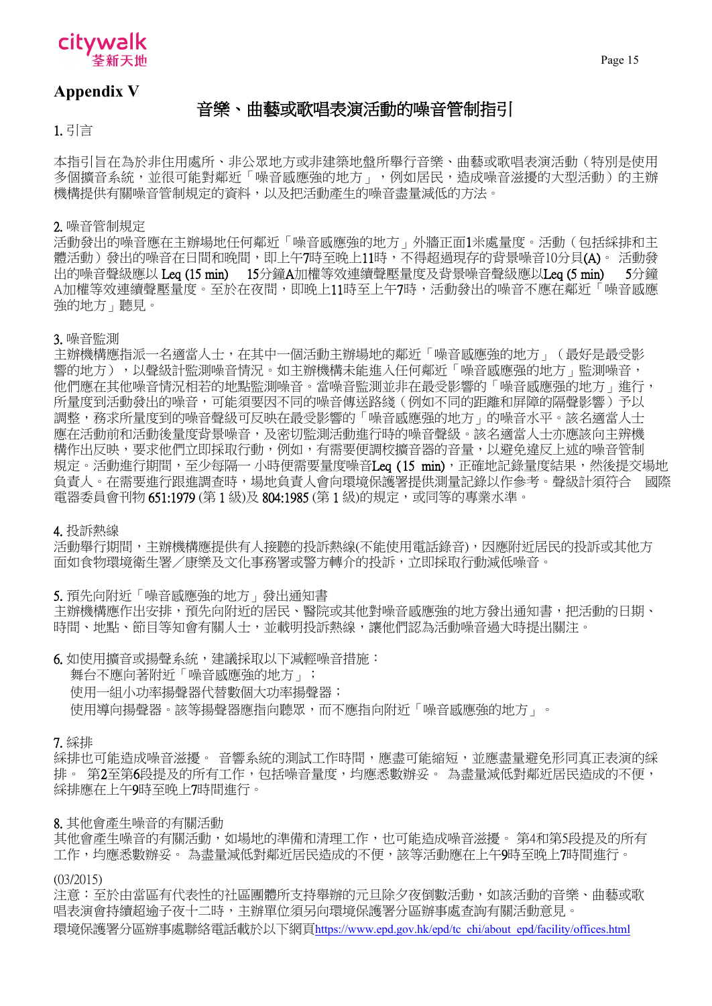

Page 15

## **Appendix V**

## 音樂、曲藝或歌唱表演活動的噪音管制指引

1. 引言

本指引旨在為於非住用處所、非公眾地方或非建築地盤所舉行音樂、曲藝或歌唱表演活動(特別是使用 多個擴音系統,並很可能對鄰近「噪音感應強的地方」,例如居民,造成噪音滋擾的大型活動)的主辦 機構提供有關噪音管制規定的資料,以及把活動產生的噪音盡量減低的方法。

2. 噪音管制規定

活動發出的噪音應在主辦場地任何鄰近「噪音感應強的地方」外牆正面1米處量度。活動(包括綵排和主 體活動)發出的噪音在日間和晚間,即上午7時至晚上11時,不得超過現存的背景噪音10分貝(A)。 活動發 出的噪音聲級應以 Leq (15 min) 15分鐘A加權等效連續聲壓量度及背景噪音聲級應以Leq (5 min) 5分鐘 A加權等效連續聲壓量度。至於在夜間,即晚上11時至上午7時,活動發出的噪音不應在鄰近「噪音感應 強的地方」聽見。

3. 噪音監測

主辦機構應指派一名適當人士,在其中一個活動主辦場地的鄰近「噪音感應強的地方」(最好是最受影 響的地方),以聲級計監測噪音情況。如主辦機構未能進入任何鄰近「噪音感應强的地方」監測噪音, 他們應在其他噪音情況相若的地點監測噪音。當噪音監測並非在最受影響的「噪音感應强的地方」進行, 所量度到活動發出的噪音,可能須要因不同的噪音傳送路綫(例如不同的距離和屏障的隔聲影響)予以 調整,務求所量度到的噪音聲級可反映在最受影響的「噪音感應强的地方」的噪音水平。該名適當人士 應在活動前和活動後量度背景噪音,及密切監測活動進行時的噪音聲級。該名適當人士亦應該向主辨機 構作出反映,要求他們立即採取行動,例如,有需要便調校擴音器的音量,以避免違反上述的噪音管制 規定。活動進行期間,至少每隔一 小時便需要量度噪音Leq (15 min),正確地記錄量度結果,然後提交場地 負責人。在需要進行跟進調查時,場地負責人會向環境保護署提供測量記錄以作參考。聲級計須符合 國際 電器委員會刊物 651:1979 (第1級)及 804:1985 (第1級)的規定,或同等的專業水準。

4. 投訴熱線

活動舉行期間,主辦機構應提供有人接聽的投訴熱線(不能使用電話錄音),因應附近居民的投訴或其他方 面如食物環境衛生署/康樂及文化事務署或警方轉介的投訴,立即採取行動減低噪音。

5. 預先向附近「噪音感應強的地方」發出通知書

主辦機構應作出安排,預先向附近的居民、醫院或其他對噪音感應強的地方發出通知書,把活動的日期、 時間、地點、節目等知會有關人士,並載明投訴熱線,讓他們認為活動噪音過大時提出關注。

6. 如使用擴音或揚聲系統,建議採取以下減輕噪音措施: 舞台不應向著附近「噪音感應強的地方」; 使用一組小功率揚聲器代替數個大功率揚聲器; 使用導向揚聲器。該等揚聲器應指向聽眾,而不應指向附近「噪音感應強的地方」。

7. 綵排

綵排也可能造成噪音滋擾。 音響系統的測試工作時間,應盡可能縮短,並應盡量避免形同真正表演的綵 排。 第2至第6段提及的所有工作,包括噪音量度,均應悉數辦妥。 為盡量減低對鄰近居民造成的不便, 綵排應在上午9時至晚上7時間進行。

#### 8. 其他會產生噪音的有關活動

其他會產生噪音的有關活動,如場地的準備和清理工作,也可能造成噪音滋擾。 第4和第5段提及的所有 工作,均應悉數辦妥。 為盡量減低對鄰近居民造成的不便,該等活動應在上午9時至晚上7時間進行。

(03/2015)

注意:至於由當區有代表性的社區團體所支持舉辦的元旦除夕夜倒數活動,如該活動的音樂、曲藝或歌 唱表演會持續超逾子夜十二時,主辦單位須另向環境保護署分區辦事處查詢有關活動意見。 環境保護署分區辦事處聯絡電話載於以下網頁https:/[/www.epd.gov.hk/epd/tc\\_chi/about\\_epd/facility/offices.html](http://www.epd.gov.hk/epd/tc_chi/about_epd/facility/offices.html)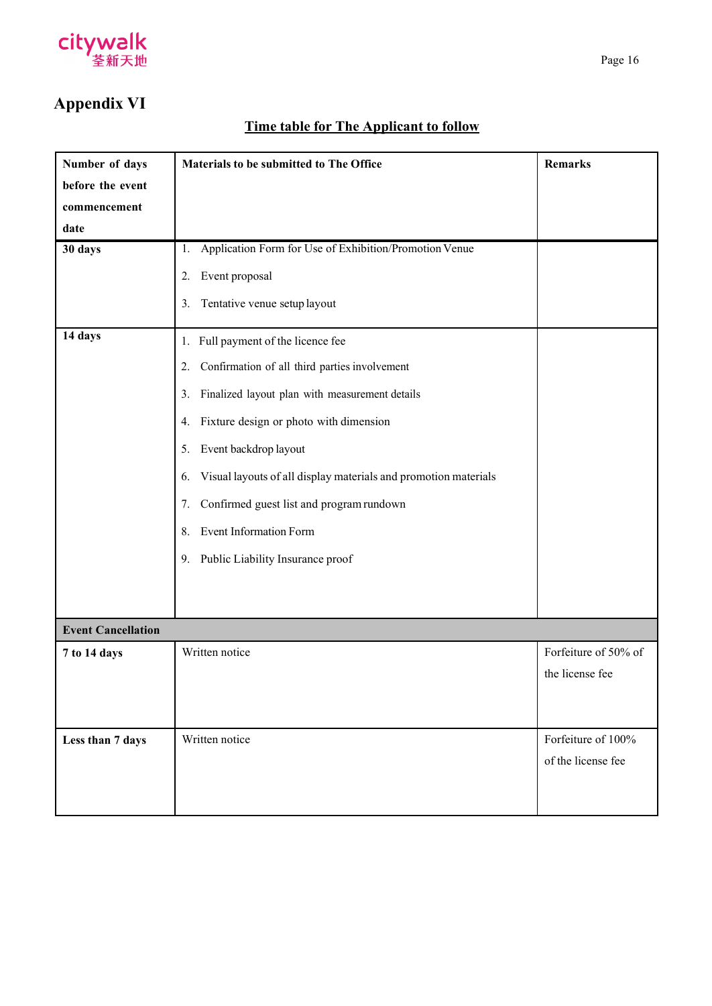

## **Appendix VI**

## **Time table for The Applicant to follow**

| Number of days            | Materials to be submitted to The Office                               | <b>Remarks</b>       |  |  |
|---------------------------|-----------------------------------------------------------------------|----------------------|--|--|
| before the event          |                                                                       |                      |  |  |
| commencement              |                                                                       |                      |  |  |
| date                      |                                                                       |                      |  |  |
| 30 days                   | Application Form for Use of Exhibition/Promotion Venue<br>1.          |                      |  |  |
|                           | Event proposal<br>2.                                                  |                      |  |  |
|                           | Tentative venue setup layout<br>3.                                    |                      |  |  |
| 14 days                   | Full payment of the licence fee<br>1.                                 |                      |  |  |
|                           | Confirmation of all third parties involvement<br>2.                   |                      |  |  |
|                           | Finalized layout plan with measurement details<br>3.                  |                      |  |  |
|                           | Fixture design or photo with dimension<br>4.                          |                      |  |  |
|                           | Event backdrop layout<br>5.                                           |                      |  |  |
|                           | Visual layouts of all display materials and promotion materials<br>6. |                      |  |  |
|                           | Confirmed guest list and program rundown<br>7.                        |                      |  |  |
|                           | <b>Event Information Form</b><br>8.                                   |                      |  |  |
|                           | 9. Public Liability Insurance proof                                   |                      |  |  |
|                           |                                                                       |                      |  |  |
|                           |                                                                       |                      |  |  |
| <b>Event Cancellation</b> |                                                                       |                      |  |  |
| 7 to 14 days              | Written notice                                                        | Forfeiture of 50% of |  |  |
|                           |                                                                       | the license fee      |  |  |
|                           |                                                                       |                      |  |  |
|                           |                                                                       |                      |  |  |
| Less than 7 days          | Written notice                                                        | Forfeiture of 100%   |  |  |
|                           |                                                                       | of the license fee   |  |  |
|                           |                                                                       |                      |  |  |
|                           |                                                                       |                      |  |  |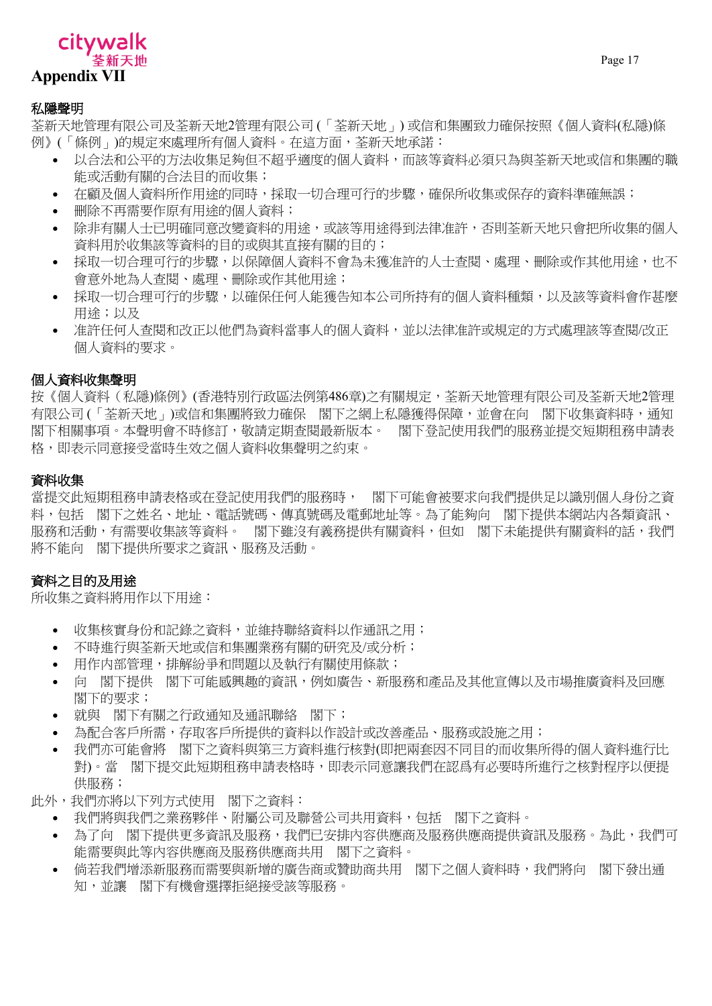## citywalk 计天谛拳 **Appendix VII**

### 私隱聲明

荃新天地管理有限公司及荃新天地2管理有限公司 (「荃新天地」) 或信和集團致力確保按照《個人資料(私隱)條 例》(「條例」)的規定來處理所有個人資料。在這方面,荃新天地承諾:

- 以合法和公平的方法收集足夠但不超乎適度的個人資料,而該等資料必須只為與荃新天地或信和集團的職 能或活動有關的合法目的而收集;
- 在顧及個人資料所作用途的同時,採取一切合理可行的步驟,確保所收集或保存的資料準確無誤;
- 刪除不再需要作原有用途的個人資料;
- 除非有關人士已明確同意改變資料的用途,或該等用途得到法律准許,否則荃新天地只會把所收集的個人 資料用於收集該等資料的目的或與其直接有關的目的;
- 採取一切合理可行的步驟,以保障個人資料不會為未獲准許的人十杳關、處理、刪除或作其他用途,也不 會意外地為人查閱、處理、刪除或作其他用途;
- 採取一切合理可行的步驟,以確保任何人能獲告知本公司所持有的個人資料種類,以及該等資料會作甚麼 用途;以及
- 准許任何人查閱和改正以他們為資料當事人的個人資料,並以法律准許或規定的方式處理該等查閱/改正 個人資料的要求。

## 個人資料收集聲明

按《個人資料(私隱)條例》(香港特別行政區法例第486章)之有關規定,荃新天地管理有限公司及荃新天地2管理 有限公司 (「荃新天地」)或信和集團將致力確保 閣下之網上私隱獲得保障,並會在向 閣下收集資料時,通知 閣下相關事項。本聲明會不時修訂,敬請定期查閱最新版本。 閣下登記使用我們的服務並提交短期租務申請表 格,即表示同意接受當時生效之個人資料收集聲明之約束。

## 資料收集

當提交此短期租務申請表格或在登記使用我們的服務時, 閣下可能會被要求向我們提供足以識別個人身份之資 料,包括 閣下之姓名、地址、電話號碼、傳真號碼及電郵地址等。為了能夠向 閣下提供本網站内各類資訊、 服務和活動,有需要收集該等資料。 閣下雖沒有義務提供有關資料,但如 閣下未能提供有關資料的話,我們 將不能向 閣下提供所要求之資訊、服務及活動。

## 資料之目的及用途

所收集之資料將用作以下用途:

- 收集核實身份和記錄之資料,並維持聯絡資料以作通訊之用;
- 不時進行與荃新天地或信和集團業務有關的研究及/或分析;
- 用作内部管理,排解紛爭和問題以及執行有關使用條款;
- 向 閣下提供 閣下可能感興趣的資訊,例如廣告、新服務和產品及其他宣傳以及市場推廣資料及回應 閣下的要求;
- 就與 閣下有關之行政通知及通訊聯絡 閣下;
- 為配合客戶所需,存取客戶所提供的資料以作設計或改善產品、服務或設施之用;
- 我們亦可能會將 閣下之資料與第三方資料進行核對(即把兩套因不同目的而收集所得的個人資料進行比 對)。當 閣下提交此短期租務申請表格時,即表示同意讓我們在認爲有必要時所進行之核對程序以便提 供服務;
- 此外,我們亦將以下列方式使用 閣下之資料:
	- 我們將與我們之業務夥伴、附屬公司及聯營公司共用資料,包括 閣下之資料。
	- 為了向 閣下提供更多資訊及服務,我們已安排內容供應商及服務供應商提供資訊及服務。為此,我們可 能需要與此等內容供應商及服務供應商共用 閣下之資料。
	- 倘若我們增添新服務而需要與新增的廣告商或贊助商共用 閣下之個人資料時,我們將向 閣下發出通 知,並讓 閣下有機會選擇拒絕接受該等服務。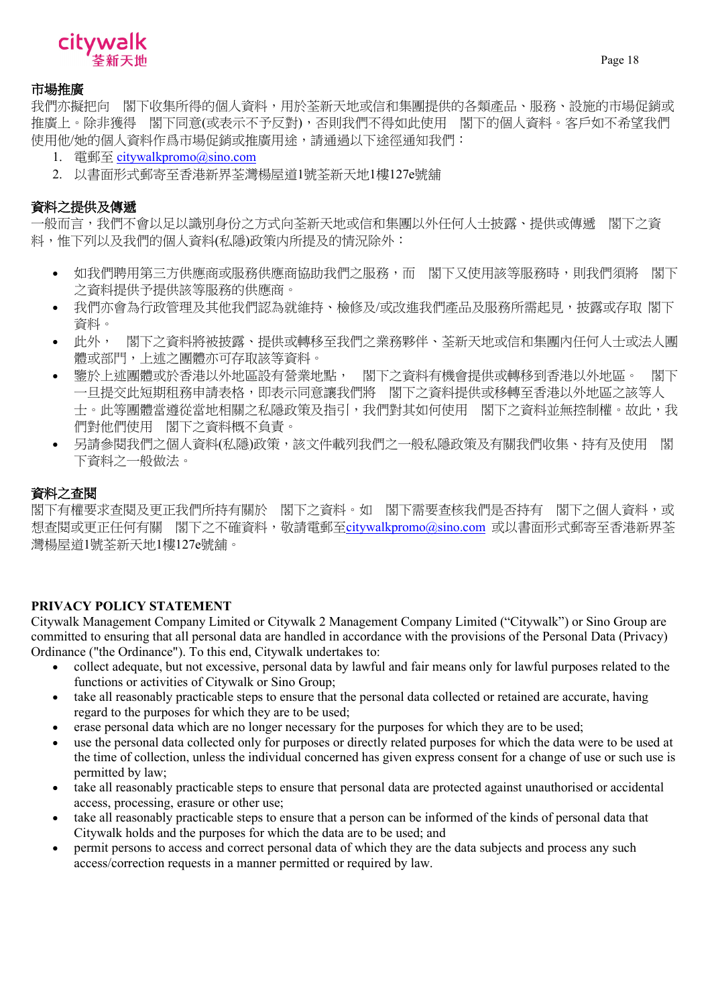

## 市場推廣

我們亦擬把向 閣下收集所得的個人資料,用於荃新天地或信和集團提供的各類產品、服務、設施的市場促銷或 推廣上。除非獲得 閣下同意(或表示不予反對),否則我們不得如此使用 閣下的個人資料。客戶如不希望我們 使用他/她的個人資料作爲市場促銷或推廣用途,請通過以下途徑通知我們:

- 1. 電郵至 [citywalkpromo@sino.com](mailto:citywalkpromo@sino.com)
- 2. 以書面形式郵寄至香港新界荃灣楊屋道1號荃新天地1樓127e號舖

## 資料之提供及傳遞

一般而言,我們不會以足以識別身份之方式向荃新天地或信和集團以外任何人士披露、提供或傳遞 閣下之資 料,惟下列以及我們的個人資料(私隱)政策内所提及的情況除外:

- 如我們聘用第三方供應商或服務供應商協助我們之服務,而 閣下又使用該等服務時,則我們須將 閣下 之資料提供予提供該等服務的供應商。
- 我們亦會為行政管理及其他我們認為就維持、檢修及/或改進我們產品及服務所需起見,披露或存取 閣下 資料。
- 此外, 閣下之資料將被披露、提供或轉移至我們之業務夥伴、荃新天地或信和集團內任何人士或法人團 體或部門,上述之團體亦可存取該等資料。
- 鑒於上述團體或於香港以外地區設有營業地點, 閣下之資料有機會提供或轉移到香港以外地區。 閣下 一旦提交此短期租務申請表格,即表示同意讓我們將 閣下之資料提供或移轉至香港以外地區之該等人 士。此等團體當遵從當地相關之私隱政策及指引,我們對其如何使用 閣下之資料並無控制權。故此,我 們對他們使用 閣下之資料概不負責。
- 另請參閱我們之個人資料(私隱)政策,該文件載列我們之一般私隱政策及有關我們收集、持有及使用 閣 下資料之一般做法。

## 資料之查閱

閣下有權要求查閱及更正我們所持有關於 閣下之資料。如 閣下需要查核我們是否持有 閣下之個人資料,或 想查閱或更正任何有關 閣下之不確資料,敬請電郵至[citywalkpromo@sino.com](mailto:citywalkpromo@sino.com) 或以書面形式郵寄至香港新界荃 灣楊屋道1號荃新天地1樓127e號舖。

## **PRIVACY POLICY STATEMENT**

Citywalk Management Company Limited or Citywalk 2 Management Company Limited ("Citywalk") or Sino Group are committed to ensuring that all personal data are handled in accordance with the provisions of the Personal Data (Privacy) Ordinance ("the Ordinance"). To this end, Citywalk undertakes to:

- collect adequate, but not excessive, personal data by lawful and fair means only for lawful purposes related to the functions or activities of Citywalk or Sino Group;
- take all reasonably practicable steps to ensure that the personal data collected or retained are accurate, having regard to the purposes for which they are to be used;
- erase personal data which are no longer necessary for the purposes for which they are to be used;
- use the personal data collected only for purposes or directly related purposes for which the data were to be used at the time of collection, unless the individual concerned has given express consent for a change of use or such use is permitted by law;
- take all reasonably practicable steps to ensure that personal data are protected against unauthorised or accidental access, processing, erasure or other use;
- take all reasonably practicable steps to ensure that a person can be informed of the kinds of personal data that Citywalk holds and the purposes for which the data are to be used; and
- permit persons to access and correct personal data of which they are the data subjects and process any such access/correction requests in a manner permitted or required by law.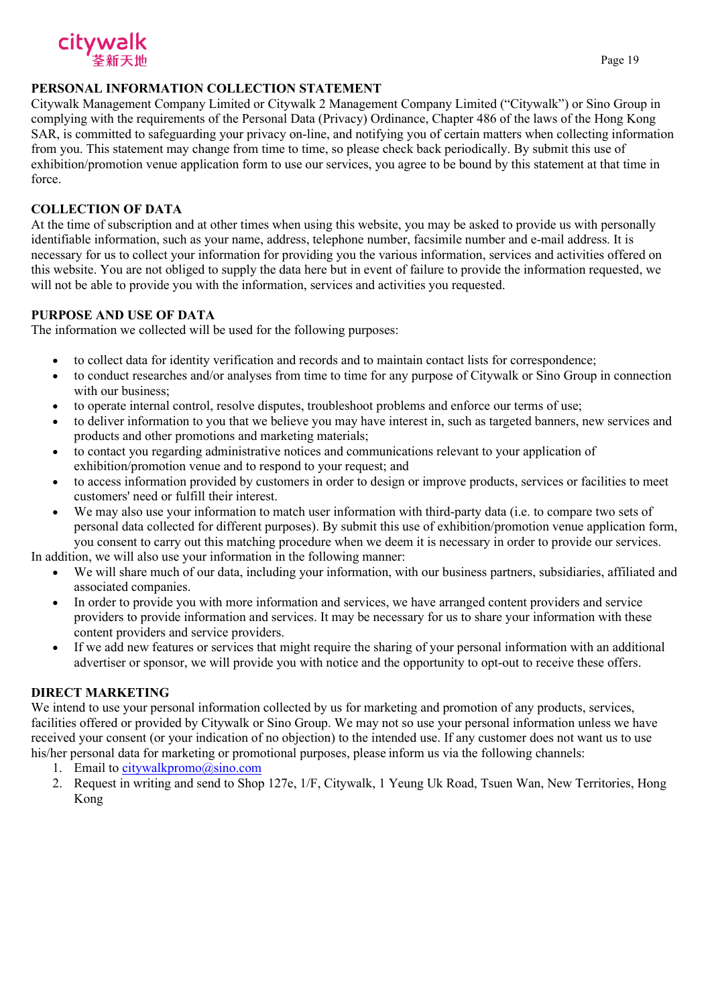

## **PERSONAL INFORMATION COLLECTION STATEMENT**

Citywalk Management Company Limited or Citywalk 2 Management Company Limited ("Citywalk") or Sino Group in complying with the requirements of the Personal Data (Privacy) Ordinance, Chapter 486 of the laws of the Hong Kong SAR, is committed to safeguarding your privacy on-line, and notifying you of certain matters when collecting information from you. This statement may change from time to time, so please check back periodically. By submit this use of exhibition/promotion venue application form to use our services, you agree to be bound by this statement at that time in force.

## **COLLECTION OF DATA**

At the time of subscription and at other times when using this website, you may be asked to provide us with personally identifiable information, such as your name, address, telephone number, facsimile number and e-mail address. It is necessary for us to collect your information for providing you the various information, services and activities offered on this website. You are not obliged to supply the data here but in event of failure to provide the information requested, we will not be able to provide you with the information, services and activities you requested.

## **PURPOSE AND USE OF DATA**

The information we collected will be used for the following purposes:

- to collect data for identity verification and records and to maintain contact lists for correspondence;
- to conduct researches and/or analyses from time to time for any purpose of Citywalk or Sino Group in connection with our business;
- to operate internal control, resolve disputes, troubleshoot problems and enforce our terms of use;
- to deliver information to you that we believe you may have interest in, such as targeted banners, new services and products and other promotions and marketing materials;
- to contact you regarding administrative notices and communications relevant to your application of exhibition/promotion venue and to respond to your request; and
- to access information provided by customers in order to design or improve products, services or facilities to meet customers' need or fulfill their interest.
- We may also use your information to match user information with third-party data (i.e. to compare two sets of personal data collected for different purposes). By submit this use of exhibition/promotion venue application form, you consent to carry out this matching procedure when we deem it is necessary in order to provide our services. In addition, we will also use your information in the following manner:

• We will share much of our data, including your information, with our business partners, subsidiaries, affiliated and

- associated companies. • In order to provide you with more information and services, we have arranged content providers and service providers to provide information and services. It may be necessary for us to share your information with these content providers and service providers.
- If we add new features or services that might require the sharing of your personal information with an additional advertiser or sponsor, we will provide you with notice and the opportunity to opt-out to receive these offers.

## **DIRECT MARKETING**

We intend to use your personal information collected by us for marketing and promotion of any products, services, facilities offered or provided by Citywalk or Sino Group. We may not so use your personal information unless we have received your consent (or your indication of no objection) to the intended use. If any customer does not want us to use his/her personal data for marketing or promotional purposes, please inform us via the following channels:

- 1. Email to [citywalkpromo@sino.com](mailto:citywalkpromo@sino.com)
- 2. Request in writing and send to Shop 127e, 1/F, Citywalk, 1 Yeung Uk Road, Tsuen Wan, New Territories, Hong Kong